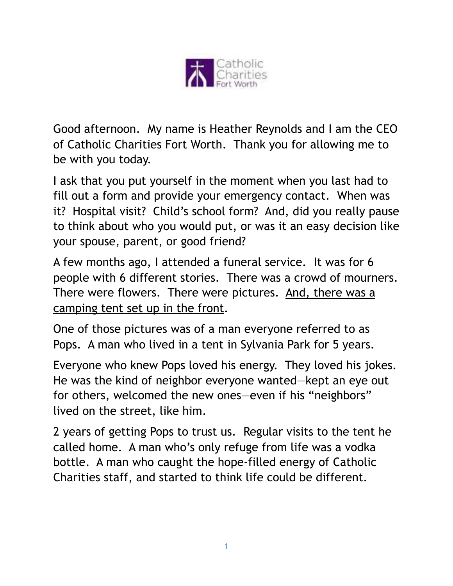

Good afternoon. My name is Heather Reynolds and I am the CEO of Catholic Charities Fort Worth. Thank you for allowing me to be with you today.

I ask that you put yourself in the moment when you last had to fill out a form and provide your emergency contact. When was it? Hospital visit? Child's school form? And, did you really pause to think about who you would put, or was it an easy decision like your spouse, parent, or good friend?

A few months ago, I attended a funeral service. It was for 6 people with 6 different stories. There was a crowd of mourners. There were flowers. There were pictures. And, there was a camping tent set up in the front.

One of those pictures was of a man everyone referred to as Pops. A man who lived in a tent in Sylvania Park for 5 years.

Everyone who knew Pops loved his energy. They loved his jokes. He was the kind of neighbor everyone wanted—kept an eye out for others, welcomed the new ones—even if his "neighbors" lived on the street, like him.

2 years of getting Pops to trust us. Regular visits to the tent he called home. A man who's only refuge from life was a vodka bottle. A man who caught the hope-filled energy of Catholic Charities staff, and started to think life could be different.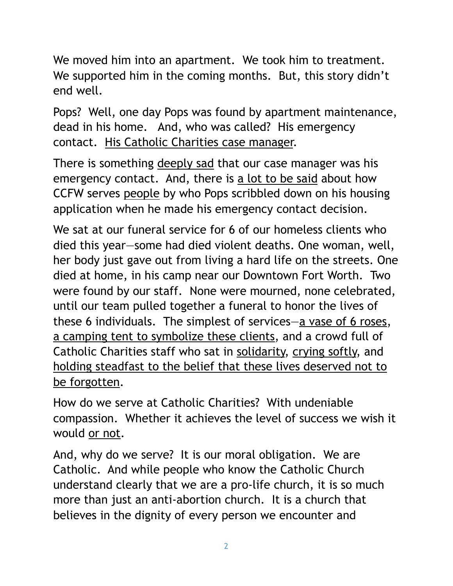We moved him into an apartment. We took him to treatment. We supported him in the coming months. But, this story didn't end well.

Pops? Well, one day Pops was found by apartment maintenance, dead in his home. And, who was called? His emergency contact. His Catholic Charities case manager.

There is something deeply sad that our case manager was his emergency contact. And, there is a lot to be said about how CCFW serves people by who Pops scribbled down on his housing application when he made his emergency contact decision.

We sat at our funeral service for 6 of our homeless clients who died this year—some had died violent deaths. One woman, well, her body just gave out from living a hard life on the streets. One died at home, in his camp near our Downtown Fort Worth. Two were found by our staff. None were mourned, none celebrated, until our team pulled together a funeral to honor the lives of these 6 individuals. The simplest of services—a vase of 6 roses, a camping tent to symbolize these clients, and a crowd full of Catholic Charities staff who sat in solidarity, crying softly, and holding steadfast to the belief that these lives deserved not to be forgotten.

How do we serve at Catholic Charities? With undeniable compassion. Whether it achieves the level of success we wish it would or not.

And, why do we serve? It is our moral obligation. We are Catholic. And while people who know the Catholic Church understand clearly that we are a pro-life church, it is so much more than just an anti-abortion church. It is a church that believes in the dignity of every person we encounter and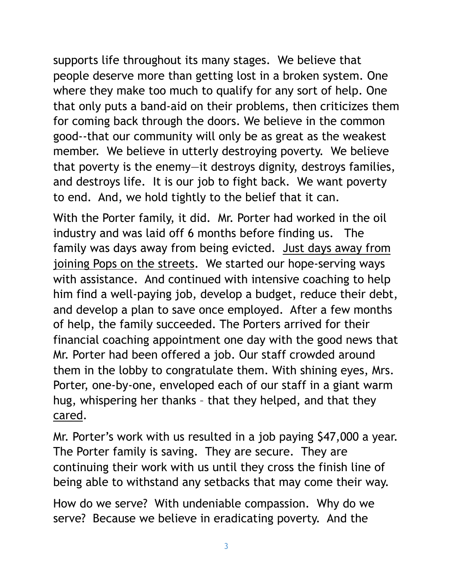supports life throughout its many stages. We believe that people deserve more than getting lost in a broken system. One where they make too much to qualify for any sort of help. One that only puts a band-aid on their problems, then criticizes them for coming back through the doors. We believe in the common good--that our community will only be as great as the weakest member. We believe in utterly destroying poverty. We believe that poverty is the enemy—it destroys dignity, destroys families, and destroys life. It is our job to fight back. We want poverty to end. And, we hold tightly to the belief that it can.

With the Porter family, it did. Mr. Porter had worked in the oil industry and was laid off 6 months before finding us. The family was days away from being evicted. Just days away from joining Pops on the streets. We started our hope-serving ways with assistance. And continued with intensive coaching to help him find a well-paying job, develop a budget, reduce their debt, and develop a plan to save once employed. After a few months of help, the family succeeded. The Porters arrived for their financial coaching appointment one day with the good news that Mr. Porter had been offered a job. Our staff crowded around them in the lobby to congratulate them. With shining eyes, Mrs. Porter, one-by-one, enveloped each of our staff in a giant warm hug, whispering her thanks – that they helped, and that they cared.

Mr. Porter's work with us resulted in a job paying \$47,000 a year. The Porter family is saving. They are secure. They are continuing their work with us until they cross the finish line of being able to withstand any setbacks that may come their way.

How do we serve? With undeniable compassion. Why do we serve? Because we believe in eradicating poverty. And the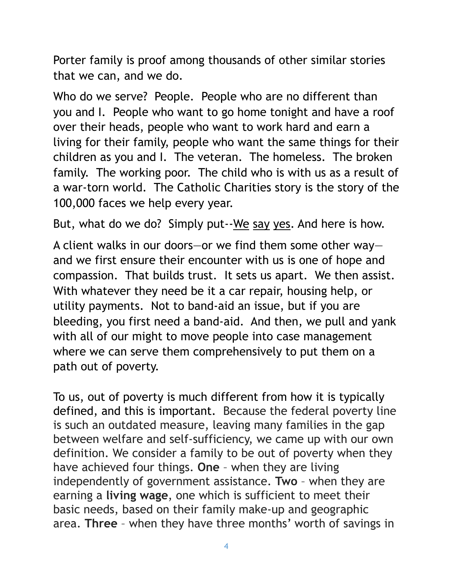Porter family is proof among thousands of other similar stories that we can, and we do.

Who do we serve? People. People who are no different than you and I. People who want to go home tonight and have a roof over their heads, people who want to work hard and earn a living for their family, people who want the same things for their children as you and I. The veteran. The homeless. The broken family. The working poor. The child who is with us as a result of a war-torn world. The Catholic Charities story is the story of the 100,000 faces we help every year.

But, what do we do? Simply put--We say yes. And here is how.

A client walks in our doors—or we find them some other way and we first ensure their encounter with us is one of hope and compassion. That builds trust. It sets us apart. We then assist. With whatever they need be it a car repair, housing help, or utility payments. Not to band-aid an issue, but if you are bleeding, you first need a band-aid. And then, we pull and yank with all of our might to move people into case management where we can serve them comprehensively to put them on a path out of poverty.

To us, out of poverty is much different from how it is typically defined, and this is important. Because the federal poverty line is such an outdated measure, leaving many families in the gap between welfare and self-sufficiency, we came up with our own definition. We consider a family to be out of poverty when they have achieved four things. **One** – when they are living independently of government assistance. **Two** – when they are earning a **living wage**, one which is sufficient to meet their basic needs, based on their family make-up and geographic area. **Three** – when they have three months' worth of savings in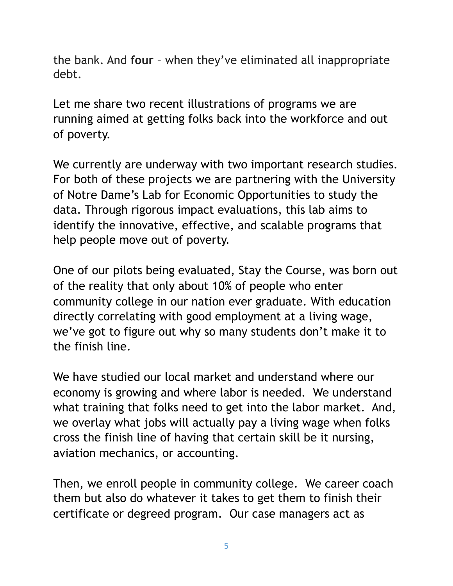the bank. And **four** – when they've eliminated all inappropriate debt.

Let me share two recent illustrations of programs we are running aimed at getting folks back into the workforce and out of poverty.

We currently are underway with two important research studies. For both of these projects we are partnering with the University of Notre Dame's Lab for Economic Opportunities to study the data. Through rigorous impact evaluations, this lab aims to identify the innovative, effective, and scalable programs that help people move out of poverty.

One of our pilots being evaluated, Stay the Course, was born out of the reality that only about 10% of people who enter community college in our nation ever graduate. With education directly correlating with good employment at a living wage, we've got to figure out why so many students don't make it to the finish line.

We have studied our local market and understand where our economy is growing and where labor is needed. We understand what training that folks need to get into the labor market. And, we overlay what jobs will actually pay a living wage when folks cross the finish line of having that certain skill be it nursing, aviation mechanics, or accounting.

Then, we enroll people in community college. We career coach them but also do whatever it takes to get them to finish their certificate or degreed program. Our case managers act as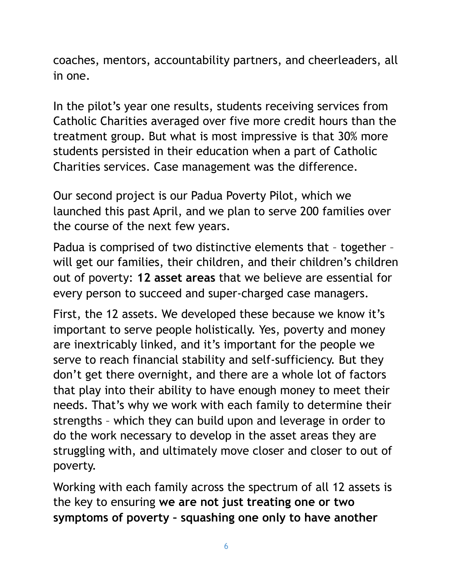coaches, mentors, accountability partners, and cheerleaders, all in one.

In the pilot's year one results, students receiving services from Catholic Charities averaged over five more credit hours than the treatment group. But what is most impressive is that 30% more students persisted in their education when a part of Catholic Charities services. Case management was the difference.

Our second project is our Padua Poverty Pilot, which we launched this past April, and we plan to serve 200 families over the course of the next few years.

Padua is comprised of two distinctive elements that – together – will get our families, their children, and their children's children out of poverty: **12 asset areas** that we believe are essential for every person to succeed and super-charged case managers.

First, the 12 assets. We developed these because we know it's important to serve people holistically. Yes, poverty and money are inextricably linked, and it's important for the people we serve to reach financial stability and self-sufficiency. But they don't get there overnight, and there are a whole lot of factors that play into their ability to have enough money to meet their needs. That's why we work with each family to determine their strengths – which they can build upon and leverage in order to do the work necessary to develop in the asset areas they are struggling with, and ultimately move closer and closer to out of poverty.

Working with each family across the spectrum of all 12 assets is the key to ensuring **we are not just treating one or two symptoms of poverty – squashing one only to have another**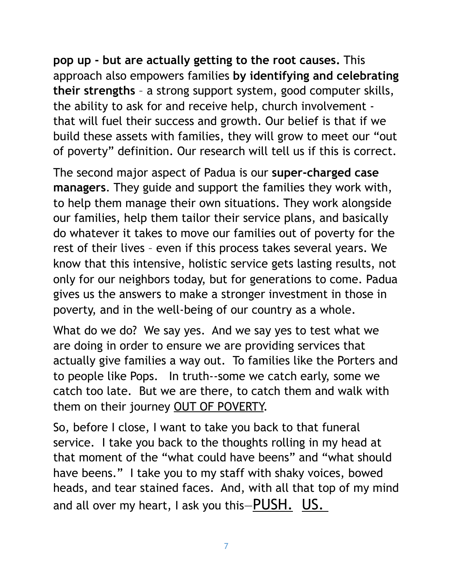**pop up - but are actually getting to the root causes.** This approach also empowers families **by identifying and celebrating their strengths** – a strong support system, good computer skills, the ability to ask for and receive help, church involvement that will fuel their success and growth. Our belief is that if we build these assets with families, they will grow to meet our "out of poverty" definition. Our research will tell us if this is correct.

The second major aspect of Padua is our **super-charged case managers**. They guide and support the families they work with, to help them manage their own situations. They work alongside our families, help them tailor their service plans, and basically do whatever it takes to move our families out of poverty for the rest of their lives – even if this process takes several years. We know that this intensive, holistic service gets lasting results, not only for our neighbors today, but for generations to come. Padua gives us the answers to make a stronger investment in those in poverty, and in the well-being of our country as a whole.

What do we do? We say yes. And we say yes to test what we are doing in order to ensure we are providing services that actually give families a way out. To families like the Porters and to people like Pops. In truth--some we catch early, some we catch too late. But we are there, to catch them and walk with them on their journey OUT OF POVERTY.

So, before I close, I want to take you back to that funeral service. I take you back to the thoughts rolling in my head at that moment of the "what could have beens" and "what should have beens." I take you to my staff with shaky voices, bowed heads, and tear stained faces. And, with all that top of my mind and all over my heart, I ask you this $-\frac{PUSH}{V}$ . US.